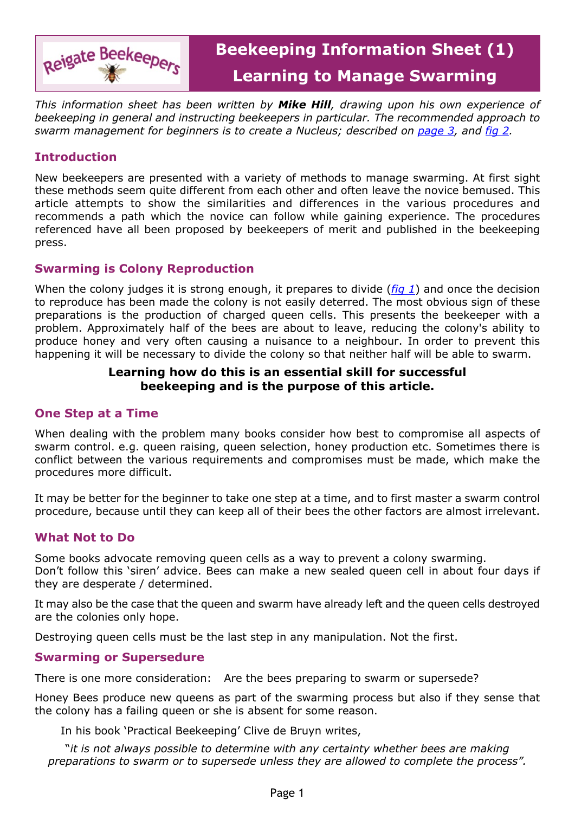

*This information sheet has been written by Mike Hill, drawing upon his own experience of beekeeping in general and instructing beekeepers in particular. The recommended approach to swarm management for beginners is to create a Nucleus; described on [page 3,](#page-2-0) and [fig 2](#page-5-0).*

## **Introduction**

New beekeepers are presented with a variety of methods to manage swarming. At first sight these methods seem quite different from each other and often leave the novice bemused. This article attempts to show the similarities and differences in the various procedures and recommends a path which the novice can follow while gaining experience. The procedures referenced have all been proposed by beekeepers of merit and published in the beekeeping press.

### **Swarming is Colony Reproduction**

When the colony judges it is strong enough, it prepares to divide (*[fig 1](#page-5-1)*) and once the decision to reproduce has been made the colony is not easily deterred. The most obvious sign of these preparations is the production of charged queen cells. This presents the beekeeper with a problem. Approximately half of the bees are about to leave, reducing the colony's ability to produce honey and very often causing a nuisance to a neighbour. In order to prevent this happening it will be necessary to divide the colony so that neither half will be able to swarm.

#### **Learning how do this is an essential skill for successful beekeeping and is the purpose of this article.**

## **One Step at a Time**

When dealing with the problem many books consider how best to compromise all aspects of swarm control. e.g. queen raising, queen selection, honey production etc. Sometimes there is conflict between the various requirements and compromises must be made, which make the procedures more difficult.

It may be better for the beginner to take one step at a time, and to first master a swarm control procedure, because until they can keep all of their bees the other factors are almost irrelevant.

## **What Not to Do**

Some books advocate removing queen cells as a way to prevent a colony swarming. Don't follow this 'siren' advice. Bees can make a new sealed queen cell in about four days if they are desperate / determined.

It may also be the case that the queen and swarm have already left and the queen cells destroyed are the colonies only hope.

Destroying queen cells must be the last step in any manipulation. Not the first.

#### **Swarming or Supersedure**

There is one more consideration: Are the bees preparing to swarm or supersede?

Honey Bees produce new queens as part of the swarming process but also if they sense that the colony has a failing queen or she is absent for some reason.

In his book 'Practical Beekeeping' Clive de Bruyn writes,

"*it is not always possible to determine with any certainty whether bees are making preparations to swarm or to supersede unless they are allowed to complete the process".*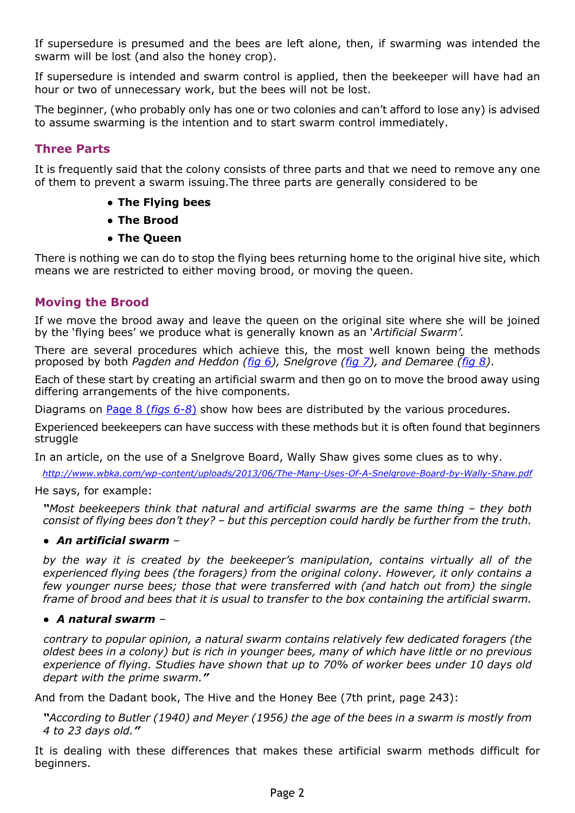If supersedure is presumed and the bees are left alone, then, if swarming was intended the swarm will be lost (and also the honey crop).

If supersedure is intended and swarm control is applied, then the beekeeper will have had an hour or two of unnecessary work, but the bees will not be lost.

The beginner, (who probably only has one or two colonies and can't afford to lose any) is advised to assume swarming is the intention and to start swarm control immediately.

## **Three Parts**

It is frequently said that the colony consists of three parts and that we need to remove any one of them to prevent a swarm issuing.The three parts are generally considered to be

- **● The Flying bees**
- **● The Brood**
- **● The Queen**

There is nothing we can do to stop the flying bees returning home to the original hive site, which means we are restricted to either moving brood, or moving the queen.

### **Moving the Brood**

If we move the brood away and leave the queen on the original site where she will be joined by the 'flying bees' we produce what is generally known as an '*Artificial Swarm'.*

There are several procedures which achieve this, the most well known being the methods proposed by both *Pagden and Heddon [\(fig 6\)](#page-7-0), Snelgrove ([fig 7\)](#page-7-1), and Demaree ([fig 8](#page-7-2))*.

Each of these start by creating an artificial swarm and then go on to move the brood away using differing arrangements of the hive components.

Diagrams on [Page 8 \(](#page-7-3)*[figs 6-8](#page-7-3)*[\)](#page-7-3) show how bees are distributed by the various procedures.

Experienced beekeepers can have success with these methods but it is often found that beginners struggle

In an article, on the use of a Snelgrove Board, Wally Shaw gives some clues as to why.

*<http://www.wbka.com/wp-content/uploads/2013/06/The-Many-Uses-Of-A-Snelgrove-Board-by-Wally-Shaw.pdf>*

#### He says, for example:

*"Most beekeepers think that natural and artificial swarms are the same thing – they both consist of flying bees don't they? – but this perception could hardly be further from the truth.*

#### *● An artificial swarm –*

*by the way it is created by the beekeeper's manipulation, contains virtually all of the experienced flying bees (the foragers) from the original colony. However, it only contains a few younger nurse bees; those that were transferred with (and hatch out from) the single frame of brood and bees that it is usual to transfer to the box containing the artificial swarm.*

#### *● A natural swarm –*

*contrary to popular opinion, a natural swarm contains relatively few dedicated foragers (the oldest bees in a colony) but is rich in younger bees, many of which have little or no previous experience of flying. Studies have shown that up to 70% of worker bees under 10 days old depart with the prime swarm."*

And from the Dadant book, The Hive and the Honey Bee (7th print, page 243):

*"According to Butler (1940) and Meyer (1956) the age of the bees in a swarm is mostly from 4 to 23 days old."*

It is dealing with these differences that makes these artificial swarm methods difficult for beginners.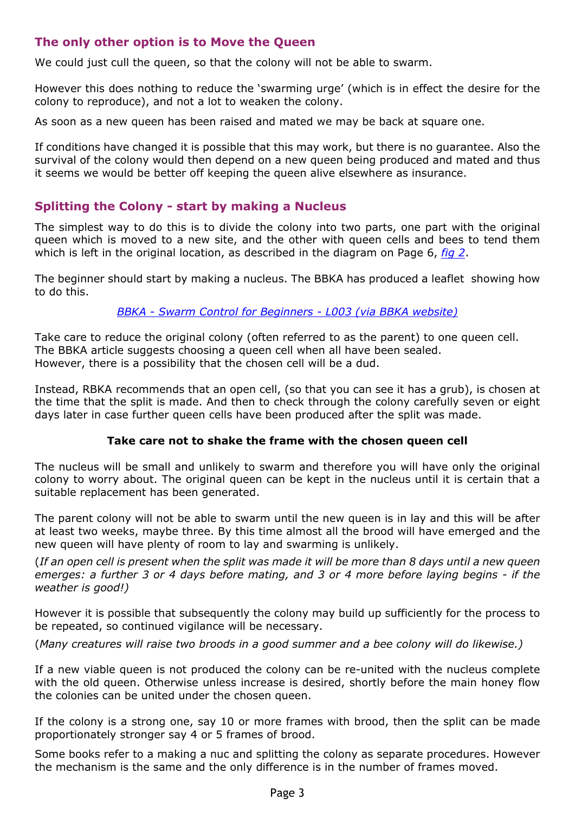## <span id="page-2-0"></span>**The only other option is to Move the Queen**

We could just cull the queen, so that the colony will not be able to swarm.

However this does nothing to reduce the 'swarming urge' (which is in effect the desire for the colony to reproduce), and not a lot to weaken the colony.

As soon as a new queen has been raised and mated we may be back at square one.

If conditions have changed it is possible that this may work, but there is no guarantee. Also the survival of the colony would then depend on a new queen being produced and mated and thus it seems we would be better off keeping the queen alive elsewhere as insurance.

## **Splitting the Colony - start by making a Nucleus**

The simplest way to do this is to divide the colony into two parts, one part with the original queen which is moved to a new site, and the other with queen cells and bees to tend them which is left in the original location, as described in the diagram on Page 6, *[fig 2](#page-5-0)*.

The beginner should start by making a nucleus. The BBKA has produced a leaflet showing how to do this.

*[BBKA - Swarm Control for Beginners - L003 \(via BBKA website\)](http://www.bbka.org.uk/files/library/swarm_control-l003_1342859999.pdf)*

Take care to reduce the original colony (often referred to as the parent) to one queen cell. The BBKA article suggests choosing a queen cell when all have been sealed. However, there is a possibility that the chosen cell will be a dud.

Instead, RBKA recommends that an open cell, (so that you can see it has a grub), is chosen at the time that the split is made. And then to check through the colony carefully seven or eight days later in case further queen cells have been produced after the split was made.

#### **Take care not to shake the frame with the chosen queen cell**

The nucleus will be small and unlikely to swarm and therefore you will have only the original colony to worry about. The original queen can be kept in the nucleus until it is certain that a suitable replacement has been generated.

The parent colony will not be able to swarm until the new queen is in lay and this will be after at least two weeks, maybe three. By this time almost all the brood will have emerged and the new queen will have plenty of room to lay and swarming is unlikely.

(*If an open cell is present when the split was made it will be more than 8 days until a new queen emerges: a further 3 or 4 days before mating, and 3 or 4 more before laying begins - if the weather is good!)*

However it is possible that subsequently the colony may build up sufficiently for the process to be repeated, so continued vigilance will be necessary.

(*Many creatures will raise two broods in a good summer and a bee colony will do likewise.)*

If a new viable queen is not produced the colony can be re-united with the nucleus complete with the old queen. Otherwise unless increase is desired, shortly before the main honey flow the colonies can be united under the chosen queen.

If the colony is a strong one, say 10 or more frames with brood, then the split can be made proportionately stronger say 4 or 5 frames of brood.

Some books refer to a making a nuc and splitting the colony as separate procedures. However the mechanism is the same and the only difference is in the number of frames moved.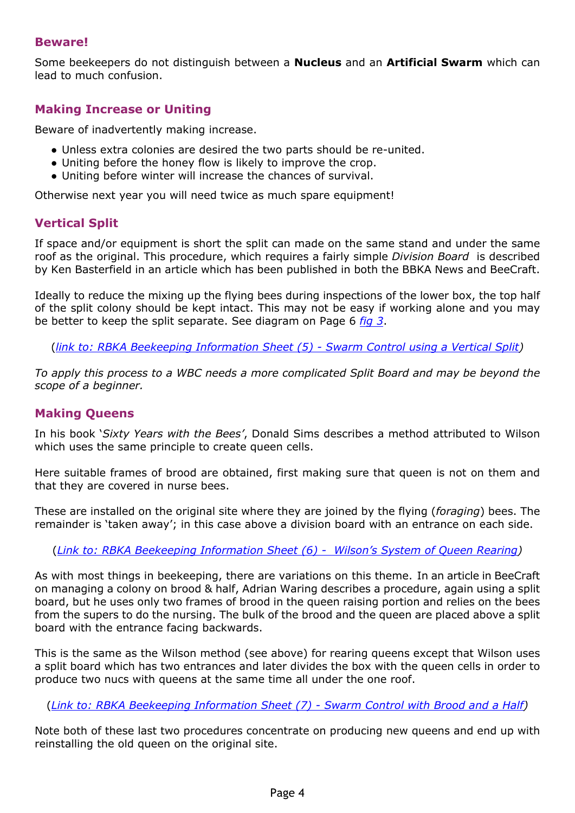## **Beware!**

Some beekeepers do not distinguish between a **Nucleus** and an **Artificial Swarm** which can lead to much confusion.

### **Making Increase or Uniting**

Beware of inadvertently making increase.

- Unless extra colonies are desired the two parts should be re-united.
- Uniting before the honey flow is likely to improve the crop.
- Uniting before winter will increase the chances of survival.

Otherwise next year you will need twice as much spare equipment!

### **Vertical Split**

If space and/or equipment is short the split can made on the same stand and under the same roof as the original. This procedure, which requires a fairly simple *Division Board* is described by Ken Basterfield in an article which has been published in both the BBKA News and BeeCraft.

Ideally to reduce the mixing up the flying bees during inspections of the lower box, the top half of the split colony should be kept intact. This may not be easy if working alone and you may be better to keep the split separate. See diagram on Page 6 *[fig 3](#page-5-2)*.

(*[link to: RBKA Beekeeping Information Sheet \(5\) - Swarm Control using a Vertical Split\)](https://rbkbblog.files.wordpress.com/2015/04/beekeeping-information-sheet-5-vertical-split.pdf)*

*To apply this process to a WBC needs a more complicated Split Board and may be beyond the scope of a beginner.*

#### **Making Queens**

In his book '*Sixty Years with the Bees'*, Donald Sims describes a method attributed to Wilson which uses the same principle to create queen cells.

Here suitable frames of brood are obtained, first making sure that queen is not on them and that they are covered in nurse bees.

These are installed on the original site where they are joined by the flying (*foraging*) bees. The remainder is 'taken away'; in this case above a division board with an entrance on each side.

(*[Link to: RBKA Beekeeping Information Sheet \(6\) - Wilson's System of Queen Rearing](https://rbkbblog.files.wordpress.com/2015/04/beekeeping-information-sheet-6-wilson-queen-rearing.pdf))*

As with most things in beekeeping, there are variations on this theme. In an article in BeeCraft on managing a colony on brood & half, Adrian Waring describes a procedure, again using a split board, but he uses only two frames of brood in the queen raising portion and relies on the bees from the supers to do the nursing. The bulk of the brood and the queen are placed above a split board with the entrance facing backwards.

This is the same as the Wilson method (see above) for rearing queens except that Wilson uses a split board which has two entrances and later divides the box with the queen cells in order to produce two nucs with queens at the same time all under the one roof.

(*[Link to: RBKA Beekeeping Information Sheet \(7\) - Swarm Control with Brood and a Half](https://rbkbblog.files.wordpress.com/2015/04/beekeeping-information-sheet-7-brood-and-a-half.pdf))*

Note both of these last two procedures concentrate on producing new queens and end up with reinstalling the old queen on the original site.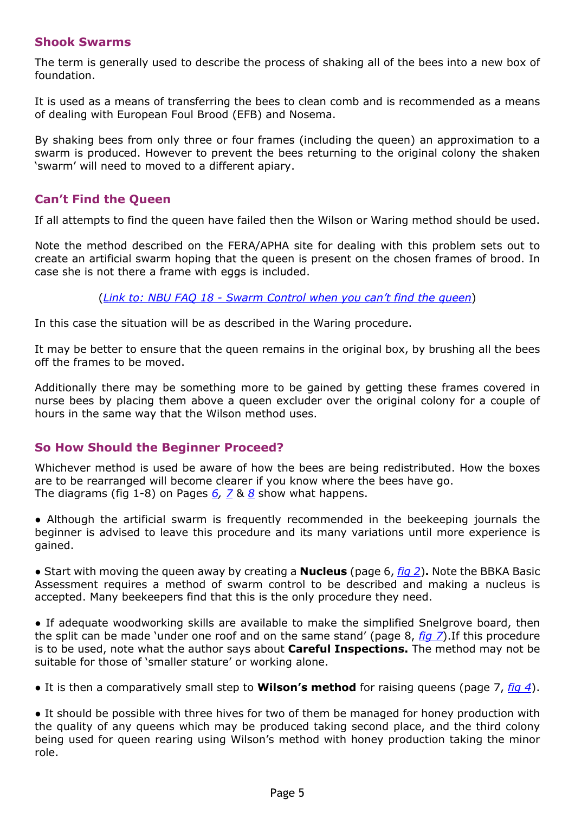## **Shook Swarms**

The term is generally used to describe the process of shaking all of the bees into a new box of foundation.

It is used as a means of transferring the bees to clean comb and is recommended as a means of dealing with European Foul Brood (EFB) and Nosema.

By shaking bees from only three or four frames (including the queen) an approximation to a swarm is produced. However to prevent the bees returning to the original colony the shaken 'swarm' will need to moved to a different apiary.

## **Can't Find the Queen**

If all attempts to find the queen have failed then the Wilson or Waring method should be used.

Note the method described on the FERA/APHA site for dealing with this problem sets out to create an artificial swarm hoping that the queen is present on the chosen frames of brood. In case she is not there a frame with eggs is included.

(*[Link to: NBU FAQ 18 - Swarm Control when you can't find the queen](https://secure.fera.defra.gov.uk/beebase/downloadDocument.cfm?id=205)*)

In this case the situation will be as described in the Waring procedure.

It may be better to ensure that the queen remains in the original box, by brushing all the bees off the frames to be moved.

Additionally there may be something more to be gained by getting these frames covered in nurse bees by placing them above a queen excluder over the original colony for a couple of hours in the same way that the Wilson method uses.

## **So How Should the Beginner Proceed?**

Whichever method is used be aware of how the bees are being redistributed. How the boxes are to be rearranged will become clearer if you know where the bees have go. The diagrams (fig 1-8) on Pages *[6](#page-5-3), [7](#page-6-0)* & *[8](#page-7-3)* show what happens.

● Although the artificial swarm is frequently recommended in the beekeeping journals the beginner is advised to leave this procedure and its many variations until more experience is gained.

● Start with moving the queen away by creating a **Nucleus** (page 6, *[fig 2](#page-5-0)*)**.** Note the BBKA Basic Assessment requires a method of swarm control to be described and making a nucleus is accepted. Many beekeepers find that this is the only procedure they need.

● If adequate woodworking skills are available to make the simplified Snelgrove board, then the split can be made 'under one roof and on the same stand' (page 8, *[fig 7](#page-7-1)*).If this procedure is to be used, note what the author says about **Careful Inspections.** The method may not be suitable for those of 'smaller stature' or working alone.

● It is then a comparatively small step to **Wilson's method** for raising queens (page 7, *[fig 4](#page-6-1)*).

• It should be possible with three hives for two of them be managed for honey production with the quality of any queens which may be produced taking second place, and the third colony being used for queen rearing using Wilson's method with honey production taking the minor role.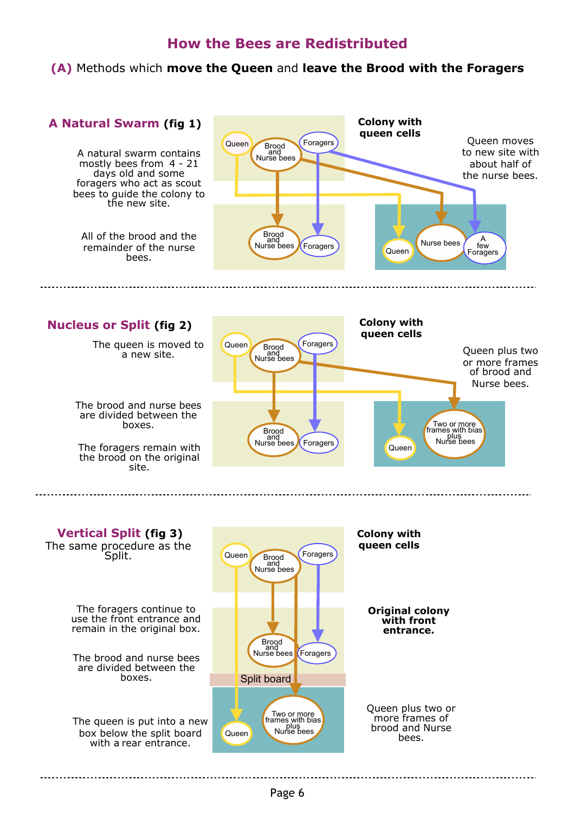## **How the Bees are Redistributed**

**(A)** Methods which **move the Queen** and **leave the Brood with the Foragers**

<span id="page-5-3"></span><span id="page-5-1"></span><span id="page-5-0"></span>

Page 6

Two or more<br>frames with bias<br>Nurse bees

Split board

Queen

Queen plus two or more frames of brood and Nurse bees.

The queen is put into a new box below the split board with a rear entrance.

<span id="page-5-2"></span>boxes.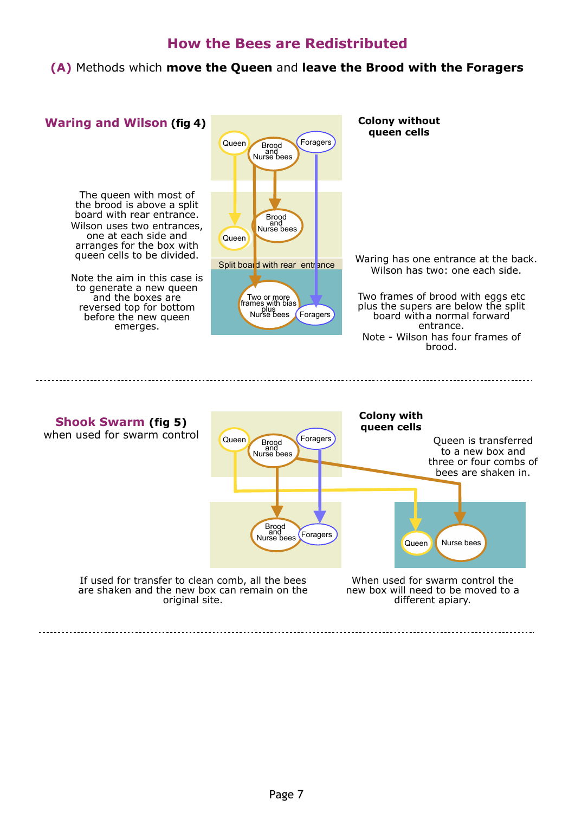# **How the Bees are Redistributed**

<span id="page-6-0"></span>**(A)** Methods which **move the Queen** and **leave the Brood with the Foragers**

<span id="page-6-1"></span>